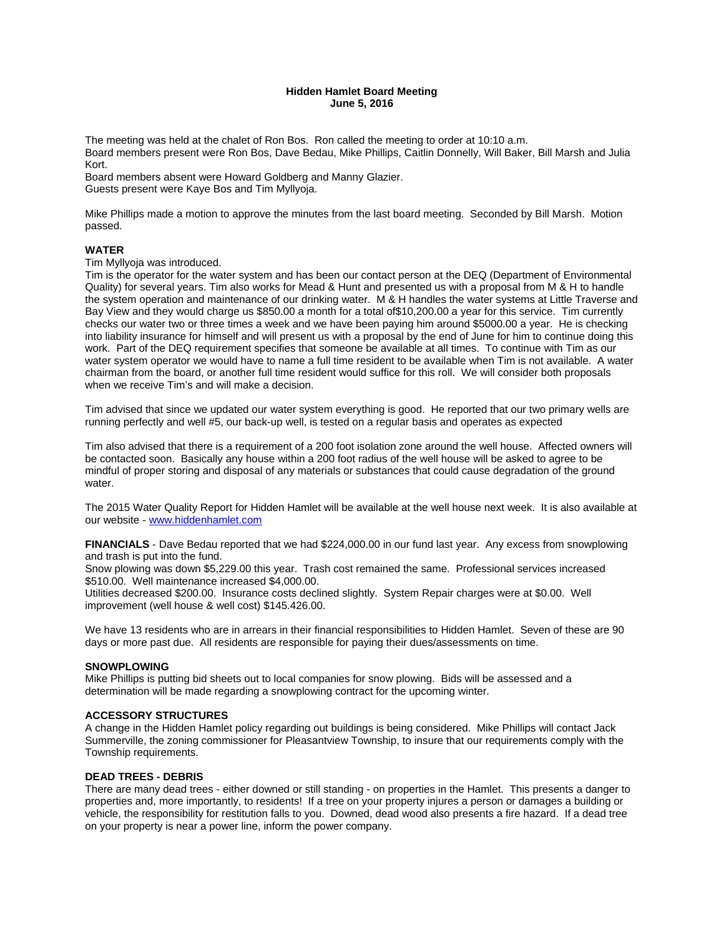### **Hidden Hamlet Board Meeting June 5, 2016**

The meeting was held at the chalet of Ron Bos. Ron called the meeting to order at 10:10 a.m. Board members present were Ron Bos, Dave Bedau, Mike Phillips, Caitlin Donnelly, Will Baker, Bill Marsh and Julia Kort.

Board members absent were Howard Goldberg and Manny Glazier. Guests present were Kaye Bos and Tim Myllyoja.

Mike Phillips made a motion to approve the minutes from the last board meeting. Seconded by Bill Marsh. Motion passed.

# **WATER**

Tim Myllyoja was introduced.

Tim is the operator for the water system and has been our contact person at the DEQ (Department of Environmental Quality) for several years. Tim also works for Mead & Hunt and presented us with a proposal from M & H to handle the system operation and maintenance of our drinking water. M & H handles the water systems at Little Traverse and Bay View and they would charge us \$850.00 a month for a total of\$10,200.00 a year for this service. Tim currently checks our water two or three times a week and we have been paying him around \$5000.00 a year. He is checking into liability insurance for himself and will present us with a proposal by the end of June for him to continue doing this work. Part of the DEQ requirement specifies that someone be available at all times. To continue with Tim as our water system operator we would have to name a full time resident to be available when Tim is not available. A water chairman from the board, or another full time resident would suffice for this roll. We will consider both proposals when we receive Tim's and will make a decision.

Tim advised that since we updated our water system everything is good. He reported that our two primary wells are running perfectly and well #5, our back-up well, is tested on a regular basis and operates as expected

Tim also advised that there is a requirement of a 200 foot isolation zone around the well house. Affected owners will be contacted soon. Basically any house within a 200 foot radius of the well house will be asked to agree to be mindful of proper storing and disposal of any materials or substances that could cause degradation of the ground water.

The 2015 Water Quality Report for Hidden Hamlet will be available at the well house next week. It is also available at our website - www.hiddenhamlet.com

**FINANCIALS** - Dave Bedau reported that we had \$224,000.00 in our fund last year. Any excess from snowplowing and trash is put into the fund.

Snow plowing was down \$5,229.00 this year. Trash cost remained the same. Professional services increased \$510.00. Well maintenance increased \$4,000.00.

Utilities decreased \$200.00. Insurance costs declined slightly. System Repair charges were at \$0.00. Well improvement (well house & well cost) \$145.426.00.

We have 13 residents who are in arrears in their financial responsibilities to Hidden Hamlet. Seven of these are 90 days or more past due. All residents are responsible for paying their dues/assessments on time.

#### **SNOWPLOWING**

Mike Phillips is putting bid sheets out to local companies for snow plowing. Bids will be assessed and a determination will be made regarding a snowplowing contract for the upcoming winter.

#### **ACCESSORY STRUCTURES**

A change in the Hidden Hamlet policy regarding out buildings is being considered. Mike Phillips will contact Jack Summerville, the zoning commissioner for Pleasantview Township, to insure that our requirements comply with the Township requirements.

#### **DEAD TREES - DEBRIS**

There are many dead trees - either downed or still standing - on properties in the Hamlet. This presents a danger to properties and, more importantly, to residents! If a tree on your property injures a person or damages a building or vehicle, the responsibility for restitution falls to you. Downed, dead wood also presents a fire hazard. If a dead tree on your property is near a power line, inform the power company.